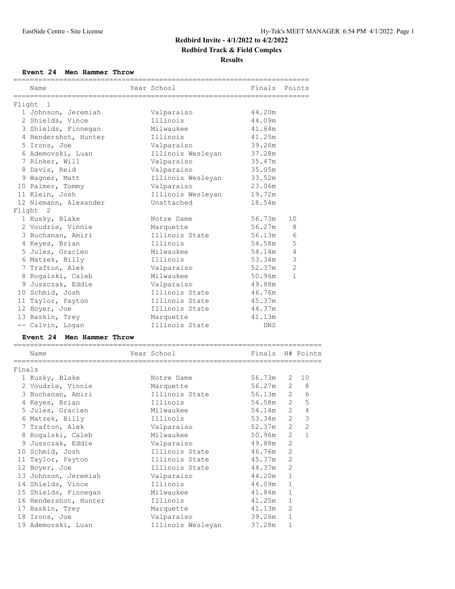# **Redbird Invite - 4/1/2022 to 4/2/2022**

**Redbird Track & Field Complex**

**Results**

#### **Event 24 Men Hammer Throw**

|        | Name                            | Year School                                            | Finals           |              | Points           |
|--------|---------------------------------|--------------------------------------------------------|------------------|--------------|------------------|
|        | =========                       |                                                        |                  |              |                  |
|        | Flight 1<br>1 Johnson, Jeremiah | Valparaiso                                             | 44.20m           |              |                  |
|        | 2 Shields, Vince                | Illinois                                               | 44.09m           |              |                  |
|        |                                 | Milwaukee                                              |                  |              |                  |
|        | 3 Shields, Finnegan             |                                                        | 41.84m           |              |                  |
|        | 4 Hendershot, Hunter            | Illinois                                               | 41.25m           |              |                  |
|        | 5 Irons, Joe                    | Valparaiso                                             | 39.26m           |              |                  |
|        | 6 Ademovski, Luan               | Illinois Wesleyan                                      | 37.28m           |              |                  |
|        | 7 Rinker, Will                  | Valparaiso                                             | 35.47m           |              |                  |
|        | 8 Davis, Reid                   | Valparaiso                                             | 35.05m           |              |                  |
|        | 9 Wagner, Matt                  | Illinois Wesleyan                                      | 33.52m           |              |                  |
|        | 10 Palmer, Tommy                | Valparaiso                                             | 23.06m           |              |                  |
|        | 11 Klein, Josh                  | Illinois Wesleyan                                      | 19.72m           |              |                  |
|        | 12 Niemann, Alexander           | Unattached                                             | 18.54m           |              |                  |
|        | Flight 2                        |                                                        |                  |              |                  |
|        | 1 Kusky, Blake                  | Notre Dame                                             | 56.73m           | 10           |                  |
|        | 2 Voudrie, Vinnie               | Marquette                                              | 56.27m           |              | 8                |
|        | 3 Buchanan, Amiri               | Illinois State                                         | 56.13m           |              | 6                |
|        | 4 Keyes, Brian                  | Illinois                                               | 54.58m           |              | 5                |
|        | 5 Jules, Gracien                | Milwaukee                                              | 54.14m           |              | $\overline{4}$   |
|        | 6 Matzek, Billy                 | Illinois                                               | 53.34m           |              | $\mathsf 3$      |
|        | 7 Trafton, Alek                 | Valparaiso                                             | 52.37m           |              | $\overline{2}$   |
|        | 8 Rogalski, Caleb               | Milwaukee                                              | 50.96m           |              | 1                |
|        | 9 Juszczak, Eddie               | Valparaiso                                             | 49.88m           |              |                  |
|        | 10 Schmid, Josh                 | Illinois State                                         | 46.76m           |              |                  |
|        | 11 Taylor, Payton               | Illinois State                                         | 45.37m           |              |                  |
|        | 12 Boyer, Joe                   | Illinois State                                         | 44.37m           |              |                  |
|        | 13 Baskin, Trey                 | Marquette                                              | 41.13m           |              |                  |
|        | -- Calvin, Logan                | Illinois State                                         | DNS              |              |                  |
|        | Event 24 Men Hammer Throw       |                                                        |                  |              |                  |
|        |                                 |                                                        |                  |              |                  |
|        | Name                            | Year School                                            | Finals H# Points |              |                  |
|        | =====================           | ====================<br>.============================= |                  |              |                  |
| Finals | 1 Kusky, Blake                  | Notre Dame                                             | 56.73m           | 2            | 10               |
|        | 2 Voudrie, Vinnie               |                                                        | 56.27m           |              |                  |
|        |                                 | Marquette                                              |                  |              | $2 \quad 8$<br>6 |
|        | 3 Buchanan, Amiri               | Illinois State                                         | $56.13m$ 2       |              | 5                |
|        | 4 Keyes, Brian                  | Illinois                                               | 54.58m           | $2^{\circ}$  |                  |
|        | 5 Jules, Gracien                | Milwaukee                                              | 54.14m           |              | $2\quad 4$       |
|        | 6 Matzek, Billy                 | Illinois                                               | 53.34m           | 2            | 3                |
|        | 7 Trafton, Alek                 | Valparaiso                                             | 52.37m           | 2            | 2                |
|        | 8 Rogalski, Caleb               | Milwaukee                                              | 50.96m           | 2            | 1                |
|        | 9 Juszczak, Eddie               | Valparaiso                                             | 49.88m           | 2            |                  |
|        | 10 Schmid, Josh                 | Illinois State                                         | 46.76m           | $\mathbf{2}$ |                  |
|        | 11 Taylor, Payton               | Illinois State                                         | 45.37m           | $\mathbf{2}$ |                  |
|        | 12 Boyer, Joe                   | Illinois State                                         | 44.37m           | 2            |                  |
|        | 13 Johnson, Jeremiah            | Valparaiso                                             | 44.20m           | 1            |                  |
|        | 14 Shields, Vince               | Illinois                                               | 44.09m           | 1            |                  |
|        | 15 Shields, Finnegan            | Milwaukee                                              | 41.84m           | $\mathbf 1$  |                  |
|        | 16 Hendershot, Hunter           | Illinois                                               | 41.25m           | $\mathbf 1$  |                  |
|        | 17 Baskin, Trey                 | Marquette                                              | 41.13m           | $\mathbf{2}$ |                  |
|        | 18 Irons, Joe                   | Valparaiso                                             | 39.26m           | $\mathbf 1$  |                  |
|        | 19 Ademovski, Luan              | Illinois Wesleyan                                      | 37.28m           | 1            |                  |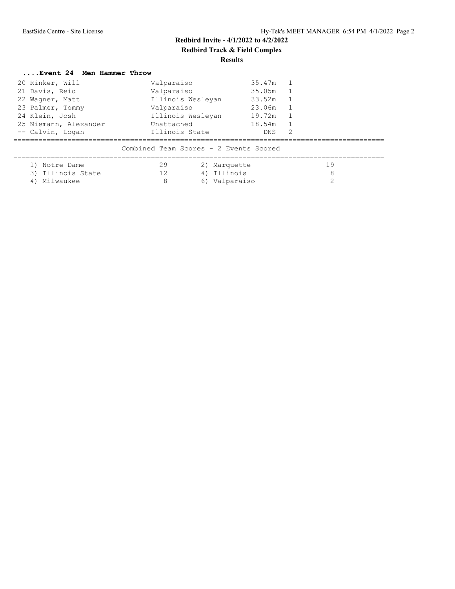### **Redbird Invite - 4/1/2022 to 4/2/2022 Redbird Track & Field Complex Results**

## **....Event 24 Men Hammer Throw**

| 20 Rinker, Will                                                     | Valparaiso                                                                                                                                | 35.47m 1 |                   |
|---------------------------------------------------------------------|-------------------------------------------------------------------------------------------------------------------------------------------|----------|-------------------|
| 21 Davis, Reid                                                      | Valparaiso                                                                                                                                | 35.05m 1 |                   |
| 22 Wagner, Matt                                                     | Illinois Wesleyan                                                                                                                         | 33.52m   |                   |
| 23 Palmer, Tommy                                                    | Valparaiso                                                                                                                                | 23.06m   |                   |
| 24 Klein, Josh                                                      | Illinois Wesleyan                                                                                                                         | 19.72m   |                   |
| 25 Niemann, Alexander                                               | Unattached                                                                                                                                | 18.54m   |                   |
| -- Calvin, Logan<br>1) Notre Dame<br>3) Illinois State<br>Milwaukee | Illinois State<br>Combined Team Scores - 2 Events Scored<br>29<br>2) Marquette<br>4) Illinois<br>12 <sup>2</sup><br>8<br>Valparaiso<br>6) | DNS.     | 2<br>19<br>8<br>⌒ |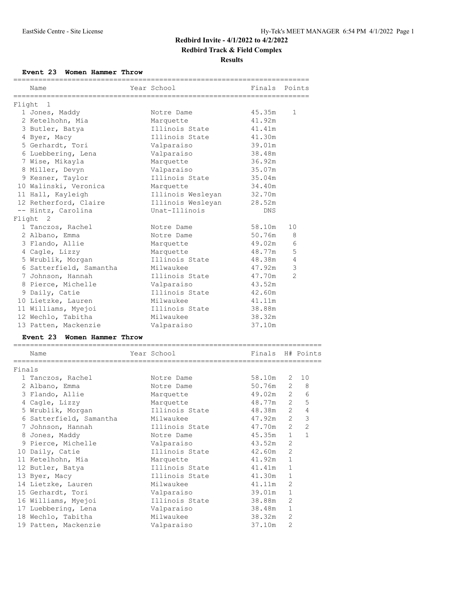#### **Redbird Invite - 4/1/2022 to 4/2/2022**

# **Redbird Track & Field Complex**

**Results**

#### **Event 23 Women Hammer Throw**

|        |                             |                 |                        | ----------------- |                   |
|--------|-----------------------------|-----------------|------------------------|-------------------|-------------------|
|        | Name                        |                 | Year School            | Finals            | Points            |
|        | =========<br>Flight 1       | =============== |                        |                   |                   |
|        | 1 Jones, Maddy              |                 | Notre Dame             | 45.35m            | 1                 |
|        | 2 Ketelhohn, Mia            |                 | Marquette              | 41.92m            |                   |
|        | 3 Butler, Batya             |                 | Illinois State         | 41.41m            |                   |
|        | 4 Byer, Macy                |                 | Illinois State         | 41.30m            |                   |
|        | 5 Gerhardt, Tori            |                 | Valparaiso             | 39.01m            |                   |
|        | 6 Luebbering, Lena          |                 | Valparaiso             | 38.48m            |                   |
|        | 7 Wise, Mikayla             |                 | Marquette              | 36.92m            |                   |
|        | 8 Miller, Devyn             |                 | Valparaiso             | 35.07m            |                   |
|        | 9 Kesner, Taylor            |                 | Illinois State         | 35.04m            |                   |
|        | 10 Walinski, Veronica       |                 | Marquette              | 34.40m            |                   |
|        | 11 Hall, Kayleigh           |                 | Illinois Wesleyan      | 32.70m            |                   |
|        | 12 Retherford, Claire       |                 | Illinois Wesleyan      | 28.52m            |                   |
|        | -- Hintz, Carolina          |                 | Unat-Illinois          | DNS               |                   |
|        | Flight 2                    |                 |                        |                   |                   |
|        | 1 Tanczos, Rachel           |                 | Notre Dame             | 58.10m            | 10                |
|        | 2 Albano, Emma              |                 | Notre Dame             | 50.76m            | 8                 |
|        | 3 Flando, Allie             |                 | Marquette              | 49.02m            | 6                 |
|        | 4 Cagle, Lizzy              |                 | Marquette              | 48.77m            | 5                 |
|        | 5 Wrublik, Morgan           |                 | Illinois State         | 48.38m            | $\overline{4}$    |
|        | 6 Satterfield, Samantha     |                 | Milwaukee              | 47.92m            | 3                 |
|        | 7 Johnson, Hannah           |                 | Illinois State         | 47.70m            | $\overline{2}$    |
|        | 8 Pierce, Michelle          |                 | Valparaiso             | 43.52m            |                   |
|        | 9 Daily, Catie              |                 | Illinois State         | 42.60m            |                   |
|        | 10 Lietzke, Lauren          |                 | Milwaukee              | 41.11m            |                   |
|        | 11 Williams, Myejoi         |                 | Illinois State         | 38.88m            |                   |
|        | 12 Wechlo, Tabitha          |                 | Milwaukee              | 38.32m            |                   |
|        | 13 Patten, Mackenzie        |                 | Valparaiso             | 37.10m            |                   |
|        | Event 23 Women Hammer Throw |                 |                        |                   |                   |
|        | Name                        |                 | Year School            |                   | Finals H# Points  |
|        | ----------------------      |                 | ====================== |                   |                   |
| Finals | 1 Tanczos, Rachel           |                 | Notre Dame             | 58.10m            | 10<br>2           |
|        | 2 Albano, Emma              |                 | Notre Dame             |                   | 50.76m 2 8        |
|        | 3 Flando, Allie             |                 | Marquette              |                   | 49.02m 2 6        |
|        | 4 Cagle, Lizzy              |                 | Marquette              | 48.77m            | 5<br>$2^{\circ}$  |
|        | 5 Wrublik, Morgan           |                 | Illinois State         | 48.38m            | $2\quad 4$        |
|        | 6 Satterfield, Samantha     |                 | Milwaukee              | 47.92m            | 3<br>2            |
|        | 7 Johnson, Hannah           |                 | Illinois State         | 47.70m            | 2<br>2            |
|        | 8 Jones, Maddy              |                 | Notre Dame             | 45.35m            | $\mathbf{1}$<br>1 |
|        | 9 Pierce, Michelle          |                 | Valparaiso             | 43.52m            | 2                 |
|        | 10 Daily, Catie             |                 | Illinois State         | 42.60m            | 2                 |
|        | 11 Ketelhohn, Mia           |                 | Marquette              | 41.92m            | $\mathbf{1}$      |
|        | 12 Butler, Batya            |                 | Illinois State         | 41.41m            | $\mathbf 1$       |
|        | 13 Byer, Macy               |                 | Illinois State         | 41.30m            | $\mathbf 1$       |
|        | 14 Lietzke, Lauren          |                 | Milwaukee              | 41.11m            | 2                 |
|        | 15 Gerhardt, Tori           |                 | Valparaiso             | 39.01m            | $\mathbf{1}$      |
|        | 16 Williams, Myejoi         |                 | Illinois State         | 38.88m            | 2                 |
|        | 17 Luebbering, Lena         |                 | Valparaiso             | 38.48m            | $\mathbf{1}$      |
|        | 18 Wechlo, Tabitha          |                 | Milwaukee              | 38.32m            | $\mathbf{2}$      |
|        | 19 Patten, Mackenzie        |                 | Valparaiso             | 37.10m            | 2                 |
|        |                             |                 |                        |                   |                   |